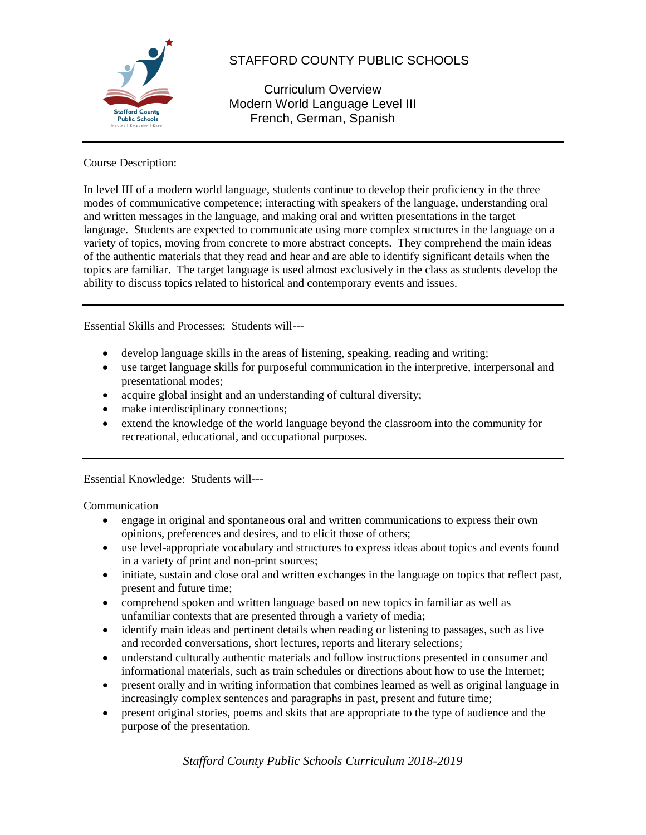

# STAFFORD COUNTY PUBLIC SCHOOLS

Curriculum Overview Modern World Language Level III French, German, Spanish

Course Description:

In level III of a modern world language, students continue to develop their proficiency in the three modes of communicative competence; interacting with speakers of the language, understanding oral and written messages in the language, and making oral and written presentations in the target language. Students are expected to communicate using more complex structures in the language on a variety of topics, moving from concrete to more abstract concepts. They comprehend the main ideas of the authentic materials that they read and hear and are able to identify significant details when the topics are familiar. The target language is used almost exclusively in the class as students develop the ability to discuss topics related to historical and contemporary events and issues.

Essential Skills and Processes: Students will---

- develop language skills in the areas of listening, speaking, reading and writing;
- use target language skills for purposeful communication in the interpretive, interpersonal and presentational modes;
- acquire global insight and an understanding of cultural diversity;
- make interdisciplinary connections;
- extend the knowledge of the world language beyond the classroom into the community for recreational, educational, and occupational purposes.

Essential Knowledge: Students will---

Communication

- engage in original and spontaneous oral and written communications to express their own opinions, preferences and desires, and to elicit those of others;
- use level-appropriate vocabulary and structures to express ideas about topics and events found in a variety of print and non-print sources;
- initiate, sustain and close oral and written exchanges in the language on topics that reflect past, present and future time;
- comprehend spoken and written language based on new topics in familiar as well as unfamiliar contexts that are presented through a variety of media;
- identify main ideas and pertinent details when reading or listening to passages, such as live and recorded conversations, short lectures, reports and literary selections;
- understand culturally authentic materials and follow instructions presented in consumer and informational materials, such as train schedules or directions about how to use the Internet;
- present orally and in writing information that combines learned as well as original language in increasingly complex sentences and paragraphs in past, present and future time;
- present original stories, poems and skits that are appropriate to the type of audience and the purpose of the presentation.

*Stafford County Public Schools Curriculum 2018-2019*